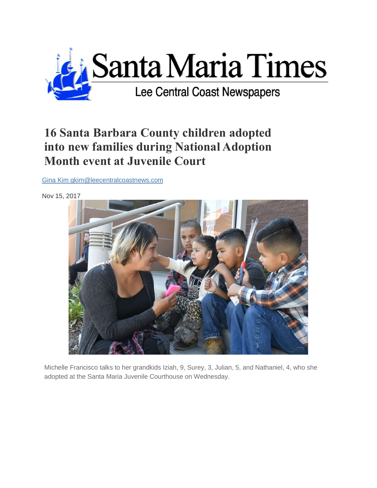

## **16 Santa Barbara County children adopted into new families during National Adoption Month event at Juvenile Court**

[Gina Kim gkim@leecentralcoastnews.com](https://santamariatimes.com/users/profile/Gina%20Kim)

Nov 15, 2017



Michelle Francisco talks to her grandkids Iziah, 9, Surey, 3, Julian, 5, and Nathaniel, 4, who she adopted at the Santa Maria Juvenile Courthouse on Wednesday.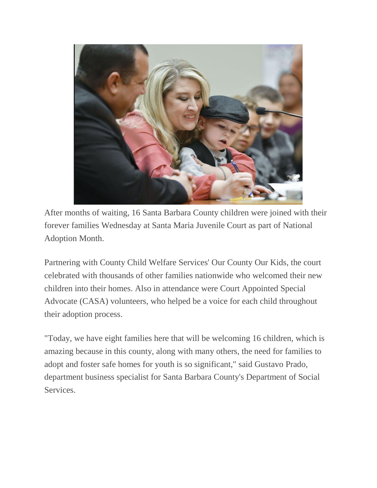

After months of waiting, 16 Santa Barbara County children were joined with their forever families Wednesday at Santa Maria Juvenile Court as part of National Adoption Month.

Partnering with County Child Welfare Services' Our County Our Kids, the court celebrated with thousands of other families nationwide who welcomed their new children into their homes. Also in attendance were Court Appointed Special Advocate (CASA) volunteers, who helped be a voice for each child throughout their adoption process.

"Today, we have eight families here that will be welcoming 16 children, which is amazing because in this county, along with many others, the need for families to adopt and foster safe homes for youth is so significant," said Gustavo Prado, department business specialist for Santa Barbara County's Department of Social Services.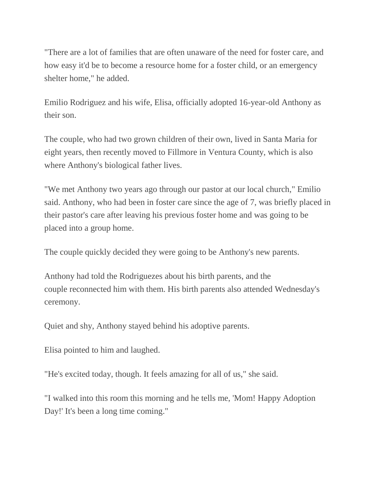"There are a lot of families that are often unaware of the need for foster care, and how easy it'd be to become a resource home for a foster child, or an emergency shelter home," he added.

Emilio Rodriguez and his wife, Elisa, officially adopted 16-year-old Anthony as their son.

The couple, who had two grown children of their own, lived in Santa Maria for eight years, then recently moved to Fillmore in Ventura County, which is also where Anthony's biological father lives.

"We met Anthony two years ago through our pastor at our local church," Emilio said. Anthony, who had been in foster care since the age of 7, was briefly placed in their pastor's care after leaving his previous foster home and was going to be placed into a group home.

The couple quickly decided they were going to be Anthony's new parents.

Anthony had told the Rodriguezes about his birth parents, and the couple reconnected him with them. His birth parents also attended Wednesday's ceremony.

Quiet and shy, Anthony stayed behind his adoptive parents.

Elisa pointed to him and laughed.

"He's excited today, though. It feels amazing for all of us," she said.

"I walked into this room this morning and he tells me, 'Mom! Happy Adoption Day!' It's been a long time coming."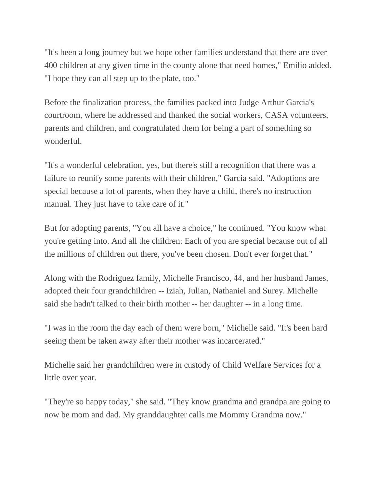"It's been a long journey but we hope other families understand that there are over 400 children at any given time in the county alone that need homes," Emilio added. "I hope they can all step up to the plate, too."

Before the finalization process, the families packed into Judge Arthur Garcia's courtroom, where he addressed and thanked the social workers, CASA volunteers, parents and children, and congratulated them for being a part of something so wonderful.

"It's a wonderful celebration, yes, but there's still a recognition that there was a failure to reunify some parents with their children," Garcia said. "Adoptions are special because a lot of parents, when they have a child, there's no instruction manual. They just have to take care of it."

But for adopting parents, "You all have a choice," he continued. "You know what you're getting into. And all the children: Each of you are special because out of all the millions of children out there, you've been chosen. Don't ever forget that."

Along with the Rodriguez family, Michelle Francisco, 44, and her husband James, adopted their four grandchildren -- Iziah, Julian, Nathaniel and Surey. Michelle said she hadn't talked to their birth mother -- her daughter -- in a long time.

"I was in the room the day each of them were born," Michelle said. "It's been hard seeing them be taken away after their mother was incarcerated."

Michelle said her grandchildren were in custody of Child Welfare Services for a little over year.

"They're so happy today," she said. "They know grandma and grandpa are going to now be mom and dad. My granddaughter calls me Mommy Grandma now."